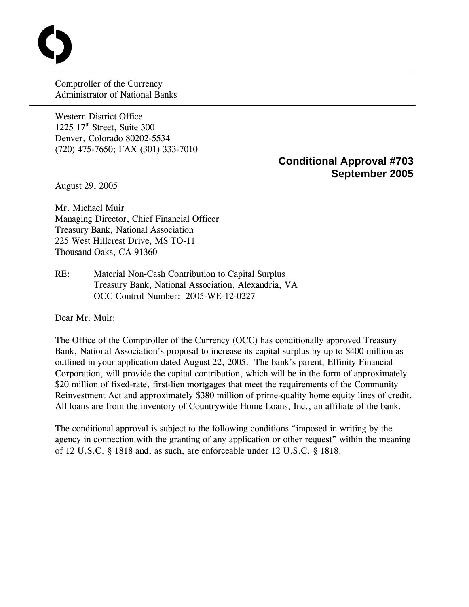Comptroller of the Currency Administrator of National Banks

Western District Office 1225  $17<sup>th</sup>$  Street, Suite 300 Denver, Colorado 80202-5534 (720) 475-7650; FAX (301) 333-7010

## **Conditional Approval #703 September 2005**

August 29, 2005

 $\overline{a}$ 

**C** 

Mr. Michael Muir Managing Director, Chief Financial Officer Treasury Bank, National Association 225 West Hillcrest Drive, MS TO-11 Thousand Oaks, CA 91360

RE: Material Non-Cash Contribution to Capital Surplus Treasury Bank, National Association, Alexandria, VA OCC Control Number: 2005-WE-12-0227

Dear Mr. Muir:

The Office of the Comptroller of the Currency (OCC) has conditionally approved Treasury Bank, National Association's proposal to increase its capital surplus by up to \$400 million as outlined in your application dated August 22, 2005. The bank's parent, Effinity Financial Corporation, will provide the capital contribution, which will be in the form of approximately \$20 million of fixed-rate, first-lien mortgages that meet the requirements of the Community Reinvestment Act and approximately \$380 million of prime-quality home equity lines of credit. All loans are from the inventory of Countrywide Home Loans, Inc., an affiliate of the bank.

The conditional approval is subject to the following conditions "imposed in writing by the agency in connection with the granting of any application or other request" within the meaning of 12 U.S.C. § 1818 and, as such, are enforceable under 12 U.S.C. § 1818: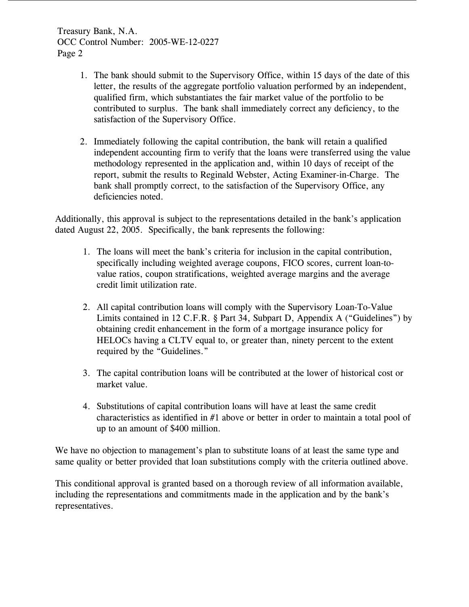Treasury Bank, N.A. OCC Control Number: 2005-WE-12-0227 Page 2

- 1. The bank should submit to the Supervisory Office, within 15 days of the date of this letter, the results of the aggregate portfolio valuation performed by an independent, qualified firm, which substantiates the fair market value of the portfolio to be contributed to surplus. The bank shall immediately correct any deficiency, to the satisfaction of the Supervisory Office.
- 2. Immediately following the capital contribution, the bank will retain a qualified independent accounting firm to verify that the loans were transferred using the value methodology represented in the application and, within 10 days of receipt of the report, submit the results to Reginald Webster, Acting Examiner-in-Charge. The bank shall promptly correct, to the satisfaction of the Supervisory Office, any deficiencies noted.

Additionally, this approval is subject to the representations detailed in the bank's application dated August 22, 2005. Specifically, the bank represents the following:

- 1. The loans will meet the bank's criteria for inclusion in the capital contribution, specifically including weighted average coupons, FICO scores, current loan-tovalue ratios, coupon stratifications, weighted average margins and the average credit limit utilization rate.
- 2. All capital contribution loans will comply with the Supervisory Loan-To-Value Limits contained in 12 C.F.R. § Part 34, Subpart D, Appendix A ("Guidelines") by obtaining credit enhancement in the form of a mortgage insurance policy for HELOCs having a CLTV equal to, or greater than, ninety percent to the extent required by the "Guidelines."
- 3. The capital contribution loans will be contributed at the lower of historical cost or market value.
- 4. Substitutions of capital contribution loans will have at least the same credit characteristics as identified in #1 above or better in order to maintain a total pool of up to an amount of \$400 million.

We have no objection to management's plan to substitute loans of at least the same type and same quality or better provided that loan substitutions comply with the criteria outlined above.

This conditional approval is granted based on a thorough review of all information available, including the representations and commitments made in the application and by the bank's representatives.